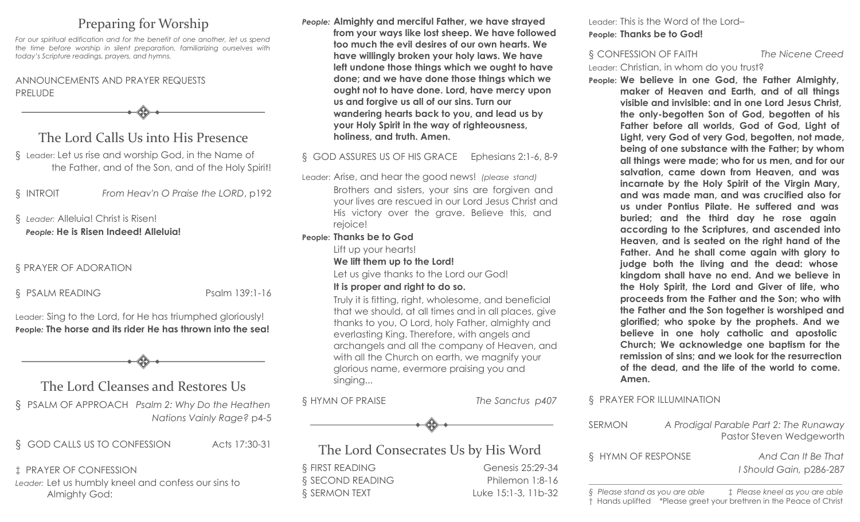# Preparing for Worship

*For our spiritual edification and for the benefit of one another, let us spend the time before worship in silent preparation, familiarizing ourselves with today's Scripture readings, prayers, and hymns.*

### ANNOUNCEMENTS AND PRAYER REQUESTS PRELUDE

The Lord Calls Us into His Presence

§ Leader: Let us rise and worship God, in the Name of the Father, and of the Son, and of the Holy Spirit!

§ INTROIT *From Heav'n O Praise the LORD*, p192

### § *Leader:* Alleluia! Christ is Risen! *People:* **He is Risen Indeed! Alleluia!**

### § PRAYER OF ADORATION

§ PSALM READING Psalm 139:1-16

Leader: Sing to the Lord, for He has triumphed gloriously! **People***:* **The horse and its rider He has thrown into the sea!**

# The Lord Cleanses and Restores Us

§ PSALM OF APPROACH *Psalm 2: Why Do the Heathen Nations Vainly Rage?* p4-5

§ GOD CALLS US TO CONFESSION Acts 17:30-31

‡ PRAYER OF CONFESSION *Leader:* Let us humbly kneel and confess our sins to Almighty God:

*People:* **Almighty and merciful Father, we have strayed from your ways like lost sheep. We have followed too much the evil desires of our own hearts. We have willingly broken your holy laws. We have left undone those things which we ought to have done; and we have done those things which we ought not to have done. Lord, have mercy upon us and forgive us all of our sins. Turn our wandering hearts back to you, and lead us by your Holy Spirit in the way of righteousness, holiness, and truth. Amen.**

### § GOD ASSURES US OF HIS GRACE Ephesians 2:1-6, 8-9

Leader: Arise, and hear the good news! *(please stand)*  Brothers and sisters, your sins are forgiven and your lives are rescued in our Lord Jesus Christ and His victory over the grave. Believe this, and rejoice!

### **People: Thanks be to God**

Lift up your hearts!

#### **We lift them up to the Lord!**

Let us give thanks to the Lord our God!

### **It is proper and right to do so.**

Truly it is fitting, right, wholesome, and beneficial that we should, at all times and in all places, give thanks to you, O Lord, holy Father, almighty and everlasting King. Therefore, with angels and archangels and all the company of Heaven, and with all the Church on earth, we magnify your glorious name, evermore praising you and singing...

§ HYMN OF PRAISE *The Sanctus p407*



## The Lord Consecrates Us by His Word

§ FIRST READING Genesis 25:29-34 § SECOND READING Philemon 1:8-16 § SERMON TEXT Luke 15:1-3, 11b-32 Leader: This is the Word of the Lord– **People: Thanks be to God!**

§ CONFESSION OF FAITH *The Nicene Creed* Leader: Christian, in whom do you trust?

**People: We believe in one God, the Father Almighty, maker of Heaven and Earth, and of all things visible and invisible: and in one Lord Jesus Christ, the only-begotten Son of God, begotten of his Father before all worlds, God of God, Light of Light, very God of very God, begotten, not made, being of one substance with the Father; by whom all things were made; who for us men, and for our salvation, came down from Heaven, and was incarnate by the Holy Spirit of the Virgin Mary, and was made man, and was crucified also for us under Pontius Pilate. He suffered and was buried; and the third day he rose again according to the Scriptures, and ascended into Heaven, and is seated on the right hand of the Father. And he shall come again with glory to judge both the living and the dead: whose kingdom shall have no end. And we believe in the Holy Spirit, the Lord and Giver of life, who proceeds from the Father and the Son; who with the Father and the Son together is worshiped and glorified; who spoke by the prophets. And we believe in one holy catholic and apostolic Church; We acknowledge one baptism for the remission of sins; and we look for the resurrection of the dead, and the life of the world to come. Amen.**

### § PRAYER FOR ILLUMINATION

| SERMON                         |  | A Prodigal Parable Part 2: The Runaway<br>Pastor Steven Wedgeworth                                    |
|--------------------------------|--|-------------------------------------------------------------------------------------------------------|
| § HYMN OF RESPONSE             |  | And Can It Be That<br>I Should Gain, p286-287                                                         |
| § Please stand as you are able |  | ‡ Please kneel as you are able<br>† Hands uplifted *Please greet your brethren in the Peace of Christ |